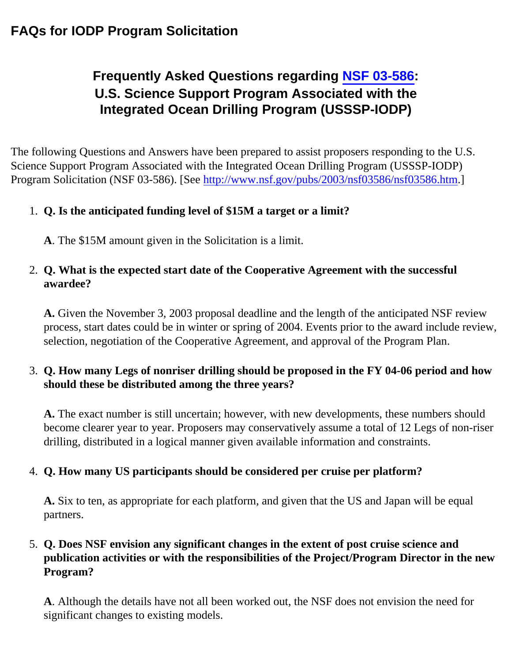## **FAQs for IODP Program Solicitation**

# **Frequently Asked Questions regarding [NSF 03-586:](http://www.nsf.gov/pubs/2003/nsf03586/nsf03586.htm) U.S. Science Support Program Associated with the Integrated Ocean Drilling Program (USSSP-IODP)**

The following Questions and Answers have been prepared to assist proposers responding to the U.S. Science Support Program Associated with the Integrated Ocean Drilling Program (USSSP-IODP) Pro[gram Solicitation \(NSF 03-586\). \[See http://www.nsf.gov/pubs/2003/nsf03586/nsf03586.htm.\]](http://www.nsf.gov/pubs/2003/nsf03586/nsf03586.htm.]1)

### 1. **Q. Is the anticipated funding level of \$15M a target or a limit?**

**A**. The \$15M amount given in the Solicitation is a limit.

#### 2. **Q. What is the expected start date of the Cooperative Agreement with the successful awardee?**

**A.** Given the November 3, 2003 proposal deadline and the length of the anticipated NSF review process, start dates could be in winter or spring of 2004. Events prior to the award include review, selection, negotiation of the Cooperative Agreement, and approval of the Program Plan.

#### 3. **Q. How many Legs of nonriser drilling should be proposed in the FY 04-06 period and how should these be distributed among the three years?**

**A.** The exact number is still uncertain; however, with new developments, these numbers should become clearer year to year. Proposers may conservatively assume a total of 12 Legs of non-riser drilling, distributed in a logical manner given available information and constraints.

#### 4. **Q. How many US participants should be considered per cruise per platform?**

**A.** Six to ten, as appropriate for each platform, and given that the US and Japan will be equal partners.

#### 5. **Q. Does NSF envision any significant changes in the extent of post cruise science and publication activities or with the responsibilities of the Project/Program Director in the new Program?**

**A**. Although the details have not all been worked out, the NSF does not envision the need for significant changes to existing models.